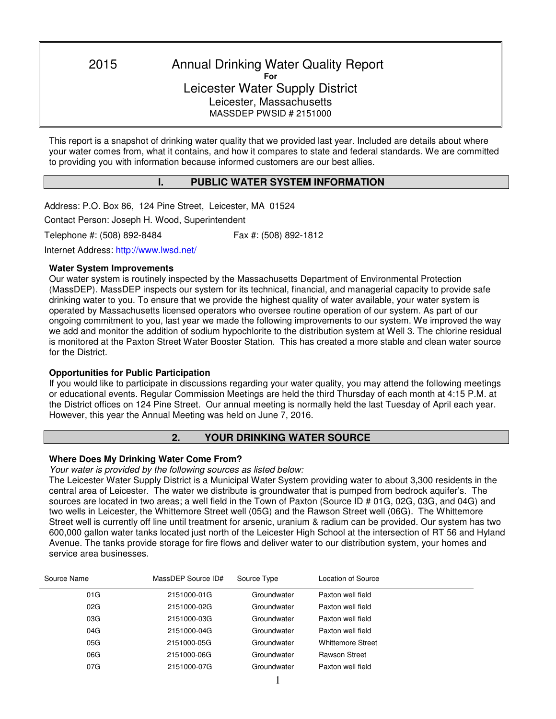2015 Annual Drinking Water Quality Report **For**  Leicester Water Supply District Leicester, Massachusetts MASSDEP PWSID # 2151000

This report is a snapshot of drinking water quality that we provided last year. Included are details about where your water comes from, what it contains, and how it compares to state and federal standards. We are committed to providing you with information because informed customers are our best allies.

## **I. PUBLIC WATER SYSTEM INFORMATION**

Address: P.O. Box 86, 124 Pine Street, Leicester, MA 01524

Contact Person: Joseph H. Wood, Superintendent

Telephone #: (508) 892-8484 Fax #: (508) 892-1812

٦

Internet Address: http://www.lwsd.net/

#### **Water System Improvements**

Our water system is routinely inspected by the Massachusetts Department of Environmental Protection (MassDEP). MassDEP inspects our system for its technical, financial, and managerial capacity to provide safe drinking water to you. To ensure that we provide the highest quality of water available, your water system is operated by Massachusetts licensed operators who oversee routine operation of our system. As part of our ongoing commitment to you, last year we made the following improvements to our system. We improved the way we add and monitor the addition of sodium hypochlorite to the distribution system at Well 3. The chlorine residual is monitored at the Paxton Street Water Booster Station. This has created a more stable and clean water source for the District.

#### **Opportunities for Public Participation**

If you would like to participate in discussions regarding your water quality, you may attend the following meetings or educational events. Regular Commission Meetings are held the third Thursday of each month at 4:15 P.M. at the District offices on 124 Pine Street. Our annual meeting is normally held the last Tuesday of April each year. However, this year the Annual Meeting was held on June 7, 2016.

## **2. YOUR DRINKING WATER SOURCE**

#### **Where Does My Drinking Water Come From?**

*Your water is provided by the following sources as listed below:* 

The Leicester Water Supply District is a Municipal Water System providing water to about 3,300 residents in the central area of Leicester. The water we distribute is groundwater that is pumped from bedrock aquifer's. The sources are located in two areas; a well field in the Town of Paxton (Source ID # 01G, 02G, 03G, and 04G) and two wells in Leicester, the Whittemore Street well (05G) and the Rawson Street well (06G). The Whittemore Street well is currently off line until treatment for arsenic, uranium & radium can be provided. Our system has two 600,000 gallon water tanks located just north of the Leicester High School at the intersection of RT 56 and Hyland Avenue. The tanks provide storage for fire flows and deliver water to our distribution system, your homes and service area businesses.

| Source Name | MassDEP Source ID#<br>Source Type |             | Location of Source       |  |
|-------------|-----------------------------------|-------------|--------------------------|--|
| 01G         | 2151000-01G                       | Groundwater | Paxton well field        |  |
| 02G         | 2151000-02G                       | Groundwater | Paxton well field        |  |
| 03G         | 2151000-03G                       | Groundwater | Paxton well field        |  |
| 04G         | 2151000-04G                       | Groundwater | Paxton well field        |  |
| 05G         | 2151000-05G                       | Groundwater | <b>Whittemore Street</b> |  |
| 06G         | 2151000-06G                       | Groundwater | <b>Rawson Street</b>     |  |
| 07G         | 2151000-07G                       | Groundwater | Paxton well field        |  |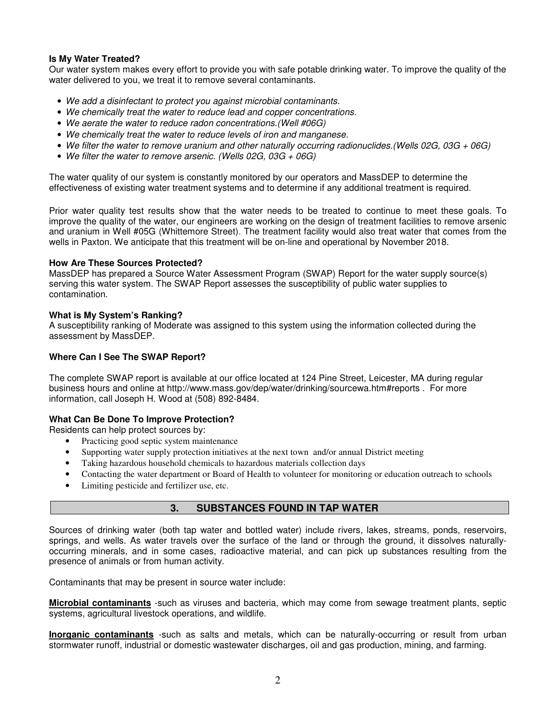### **Is My Water Treated?**

Our water system makes every effort to provide you with safe potable drinking water. To improve the quality of the water delivered to you, we treat it to remove several contaminants.

- *We add a disinfectant to protect you against microbial contaminants.*
- *We chemically treat the water to reduce lead and copper concentrations.*
- *We aerate the water to reduce radon concentrations.(Well #06G)*
- *We chemically treat the water to reduce levels of iron and manganese.*
- *We filter the water to remove uranium and other naturally occurring radionuclides.(Wells 02G, 03G + 06G)*
- *We filter the water to remove arsenic. (Wells 02G, 03G + 06G)*

The water quality of our system is constantly monitored by our operators and MassDEP to determine the effectiveness of existing water treatment systems and to determine if any additional treatment is required.

Prior water quality test results show that the water needs to be treated to continue to meet these goals. To improve the quality of the water, our engineers are working on the design of treatment facilities to remove arsenic and uranium in Well #05G (Whittemore Street)*.* The treatment facility would also treat water that comes from the wells in Paxton. We anticipate that this treatment will be on-line and operational by November 2018.

#### **How Are These Sources Protected?**

MassDEP has prepared a Source Water Assessment Program (SWAP) Report for the water supply source(s) serving this water system. The SWAP Report assesses the susceptibility of public water supplies to contamination.

### **What is My System's Ranking?**

A susceptibility ranking of Moderate was assigned to this system using the information collected during the assessment by MassDEP.

### **Where Can I See The SWAP Report?**

The complete SWAP report is available at our office located at 124 Pine Street, Leicester, MA during regular business hours and online at http://www.mass.gov/dep/water/drinking/sourcewa.htm#reports . For more information, call Joseph H. Wood at (508) 892-8484.

#### **What Can Be Done To Improve Protection?**

Residents can help protect sources by:

- Practicing good septic system maintenance
- Supporting water supply protection initiatives at the next town and/or annual District meeting
- Taking hazardous household chemicals to hazardous materials collection days
- Contacting the water department or Board of Health to volunteer for monitoring or education outreach to schools
- Limiting pesticide and fertilizer use, etc.

## **3. SUBSTANCES FOUND IN TAP WATER**

Sources of drinking water (both tap water and bottled water) include rivers, lakes, streams, ponds, reservoirs, springs, and wells. As water travels over the surface of the land or through the ground, it dissolves naturallyoccurring minerals, and in some cases, radioactive material, and can pick up substances resulting from the presence of animals or from human activity.

Contaminants that may be present in source water include:

**Microbial contaminants** -such as viruses and bacteria, which may come from sewage treatment plants, septic systems, agricultural livestock operations, and wildlife.

**Inorganic contaminants** -such as salts and metals, which can be naturally-occurring or result from urban stormwater runoff, industrial or domestic wastewater discharges, oil and gas production, mining, and farming.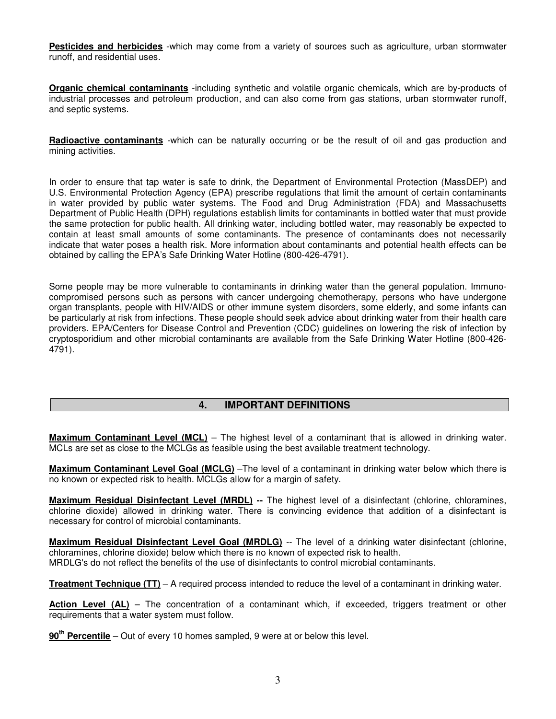**Pesticides and herbicides** -which may come from a variety of sources such as agriculture, urban stormwater runoff, and residential uses.

**Organic chemical contaminants** -including synthetic and volatile organic chemicals, which are by-products of industrial processes and petroleum production, and can also come from gas stations, urban stormwater runoff, and septic systems.

**Radioactive contaminants** -which can be naturally occurring or be the result of oil and gas production and mining activities.

In order to ensure that tap water is safe to drink, the Department of Environmental Protection (MassDEP) and U.S. Environmental Protection Agency (EPA) prescribe regulations that limit the amount of certain contaminants in water provided by public water systems. The Food and Drug Administration (FDA) and Massachusetts Department of Public Health (DPH) regulations establish limits for contaminants in bottled water that must provide the same protection for public health. All drinking water, including bottled water, may reasonably be expected to contain at least small amounts of some contaminants. The presence of contaminants does not necessarily indicate that water poses a health risk. More information about contaminants and potential health effects can be obtained by calling the EPA's Safe Drinking Water Hotline (800-426-4791).

Some people may be more vulnerable to contaminants in drinking water than the general population. Immunocompromised persons such as persons with cancer undergoing chemotherapy, persons who have undergone organ transplants, people with HIV/AIDS or other immune system disorders, some elderly, and some infants can be particularly at risk from infections. These people should seek advice about drinking water from their health care providers. EPA/Centers for Disease Control and Prevention (CDC) guidelines on lowering the risk of infection by cryptosporidium and other microbial contaminants are available from the Safe Drinking Water Hotline (800-426- 4791).

## **4. IMPORTANT DEFINITIONS**

**Maximum Contaminant Level (MCL)** – The highest level of a contaminant that is allowed in drinking water. MCLs are set as close to the MCLGs as feasible using the best available treatment technology.

**Maximum Contaminant Level Goal (MCLG)** –The level of a contaminant in drinking water below which there is no known or expected risk to health. MCLGs allow for a margin of safety.

**Maximum Residual Disinfectant Level (MRDL) --** The highest level of a disinfectant (chlorine, chloramines, chlorine dioxide) allowed in drinking water. There is convincing evidence that addition of a disinfectant is necessary for control of microbial contaminants.

**Maximum Residual Disinfectant Level Goal (MRDLG)** -- The level of a drinking water disinfectant (chlorine, chloramines, chlorine dioxide) below which there is no known of expected risk to health. MRDLG's do not reflect the benefits of the use of disinfectants to control microbial contaminants.

**Treatment Technique (TT)** – A required process intended to reduce the level of a contaminant in drinking water.

Action Level (AL) – The concentration of a contaminant which, if exceeded, triggers treatment or other requirements that a water system must follow.

**90th Percentile** – Out of every 10 homes sampled, 9 were at or below this level.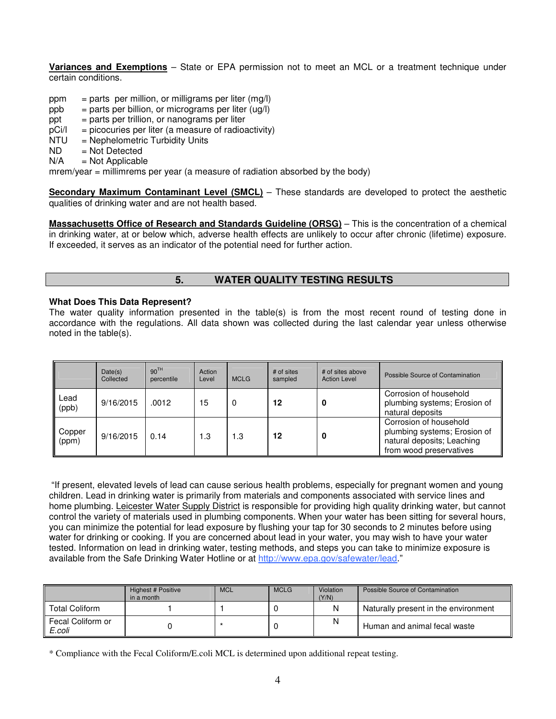**Variances and Exemptions** – State or EPA permission not to meet an MCL or a treatment technique under certain conditions.

- ppm = parts per million, or milligrams per liter  $(mq)$
- $ppb = parts per billion, or micrograms per liter (uq/l)$
- $ppt = parts per trillion, or nanograms per liter$
- $pCi/1$  = picocuries per liter (a measure of radioactivity)
- NTU = Nephelometric Turbidity Units
- $ND$  = Not Detected<br> $N/A$  = Not Applicable
- $=$  Not Applicable

mrem/year = millimrems per year (a measure of radiation absorbed by the body)

**Secondary Maximum Contaminant Level (SMCL)** – These standards are developed to protect the aesthetic qualities of drinking water and are not health based.

**Massachusetts Office of Research and Standards Guideline (ORSG)** – This is the concentration of a chemical in drinking water, at or below which, adverse health effects are unlikely to occur after chronic (lifetime) exposure. If exceeded, it serves as an indicator of the potential need for further action.

# **5. WATER QUALITY TESTING RESULTS**

#### **What Does This Data Represent?**

The water quality information presented in the table(s) is from the most recent round of testing done in accordance with the regulations. All data shown was collected during the last calendar year unless otherwise noted in the table(s).

|                 | Date(s)<br>Collected | 90 <sup>TH</sup><br>percentile | Action<br>Level | <b>MCLG</b> | # of sites<br>sampled | # of sites above<br><b>Action Level</b> | Possible Source of Contamination                                                                                |
|-----------------|----------------------|--------------------------------|-----------------|-------------|-----------------------|-----------------------------------------|-----------------------------------------------------------------------------------------------------------------|
| Lead<br>(ppb)   | 9/16/2015            | .0012                          | 15              | 0           | 12                    |                                         | Corrosion of household<br>plumbing systems; Erosion of<br>natural deposits                                      |
| Copper<br>(ppm) | 9/16/2015            | 0.14                           | 1.3             | 1.3         | 12                    |                                         | Corrosion of household<br>plumbing systems; Erosion of<br>natural deposits; Leaching<br>from wood preservatives |

"If present, elevated levels of lead can cause serious health problems, especially for pregnant women and young children. Lead in drinking water is primarily from materials and components associated with service lines and home plumbing. Leicester Water Supply District is responsible for providing high quality drinking water, but cannot control the variety of materials used in plumbing components. When your water has been sitting for several hours, you can minimize the potential for lead exposure by flushing your tap for 30 seconds to 2 minutes before using water for drinking or cooking. If you are concerned about lead in your water, you may wish to have your water tested. Information on lead in drinking water, testing methods, and steps you can take to minimize exposure is available from the Safe Drinking Water Hotline or at http://www.epa.gov/safewater/lead."

|                             | Highest # Positive<br>in a month | <b>MCL</b> | <b>MCLG</b> | Violation<br>(Y/N) | Possible Source of Contamination     |
|-----------------------------|----------------------------------|------------|-------------|--------------------|--------------------------------------|
| <b>Total Coliform</b>       |                                  |            |             | N                  | Naturally present in the environment |
| Fecal Coliform or<br>E.coli |                                  |            |             | N                  | Human and animal fecal waste         |

\* Compliance with the Fecal Coliform/E.coli MCL is determined upon additional repeat testing.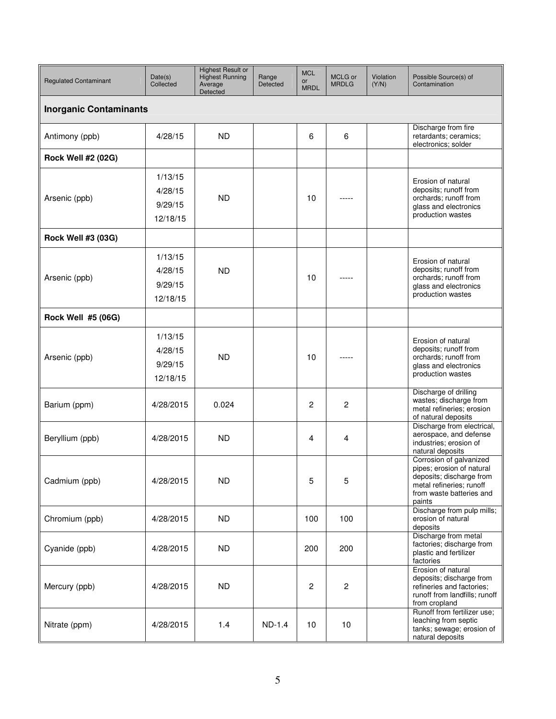| <b>Regulated Contaminant</b>  | Date(s)<br>Collected                      | <b>Highest Result or</b><br><b>Highest Running</b><br>Average<br>Detected | Range<br>Detected | <b>MCL</b><br>or<br><b>MRDL</b> | MCLG or<br><b>MRDLG</b> | Violation<br>(Y/N) | Possible Source(s) of<br>Contamination                                                                                                             |  |  |  |  |  |
|-------------------------------|-------------------------------------------|---------------------------------------------------------------------------|-------------------|---------------------------------|-------------------------|--------------------|----------------------------------------------------------------------------------------------------------------------------------------------------|--|--|--|--|--|
| <b>Inorganic Contaminants</b> |                                           |                                                                           |                   |                                 |                         |                    |                                                                                                                                                    |  |  |  |  |  |
| Antimony (ppb)                | 4/28/15                                   | <b>ND</b>                                                                 |                   | 6                               | 6                       |                    | Discharge from fire<br>retardants; ceramics;<br>electronics; solder                                                                                |  |  |  |  |  |
| <b>Rock Well #2 (02G)</b>     |                                           |                                                                           |                   |                                 |                         |                    |                                                                                                                                                    |  |  |  |  |  |
| Arsenic (ppb)                 | 1/13/15<br>4/28/15<br>9/29/15<br>12/18/15 | <b>ND</b>                                                                 |                   | 10                              |                         |                    | Erosion of natural<br>deposits; runoff from<br>orchards; runoff from<br>glass and electronics<br>production wastes                                 |  |  |  |  |  |
| Rock Well #3 (03G)            |                                           |                                                                           |                   |                                 |                         |                    |                                                                                                                                                    |  |  |  |  |  |
| Arsenic (ppb)                 | 1/13/15<br>4/28/15<br>9/29/15<br>12/18/15 | <b>ND</b>                                                                 |                   | 10                              |                         |                    | Erosion of natural<br>deposits; runoff from<br>orchards; runoff from<br>glass and electronics<br>production wastes                                 |  |  |  |  |  |
| Rock Well #5 (06G)            |                                           |                                                                           |                   |                                 |                         |                    |                                                                                                                                                    |  |  |  |  |  |
| Arsenic (ppb)                 | 1/13/15<br>4/28/15<br>9/29/15<br>12/18/15 | <b>ND</b>                                                                 |                   | 10                              |                         |                    | Erosion of natural<br>deposits; runoff from<br>orchards; runoff from<br>glass and electronics<br>production wastes                                 |  |  |  |  |  |
| Barium (ppm)                  | 4/28/2015                                 | 0.024                                                                     |                   | $\mathbf{2}$                    | $\mathbf{2}$            |                    | Discharge of drilling<br>wastes; discharge from<br>metal refineries; erosion<br>of natural deposits                                                |  |  |  |  |  |
| Beryllium (ppb)               | 4/28/2015                                 | <b>ND</b>                                                                 |                   | 4                               | 4                       |                    | Discharge from electrical,<br>aerospace, and defense<br>industries; erosion of<br>natural deposits                                                 |  |  |  |  |  |
| Cadmium (ppb)                 | 4/28/2015                                 | <b>ND</b>                                                                 |                   | 5                               | 5                       |                    | Corrosion of galvanized<br>pipes; erosion of natural<br>deposits; discharge from<br>metal refineries; runoff<br>from waste batteries and<br>paints |  |  |  |  |  |
| Chromium (ppb)                | 4/28/2015                                 | ND.                                                                       |                   | 100                             | 100                     |                    | Discharge from pulp mills;<br>erosion of natural<br>deposits                                                                                       |  |  |  |  |  |
| Cyanide (ppb)                 | 4/28/2015                                 | ND.                                                                       |                   | 200                             | 200                     |                    | Discharge from metal<br>factories; discharge from<br>plastic and fertilizer<br>factories                                                           |  |  |  |  |  |
| Mercury (ppb)                 | 4/28/2015                                 | ND.                                                                       |                   | $\overline{c}$                  | $\boldsymbol{2}$        |                    | Erosion of natural<br>deposits; discharge from<br>refineries and factories;<br>runoff from landfills; runoff<br>from cropland                      |  |  |  |  |  |
| Nitrate (ppm)                 | 4/28/2015                                 | 1.4                                                                       | ND-1.4            | 10                              | 10                      |                    | Runoff from fertilizer use;<br>leaching from septic<br>tanks; sewage; erosion of<br>natural deposits                                               |  |  |  |  |  |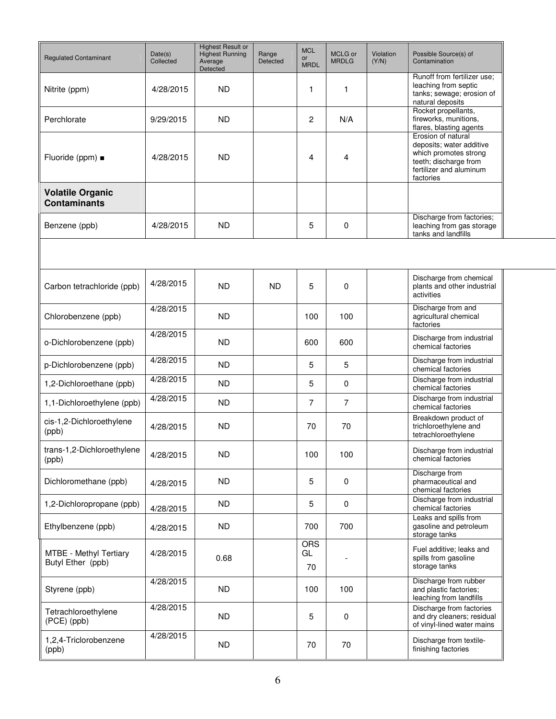| <b>Regulated Contaminant</b>                   | Date(s)<br>Collected | <b>Highest Result or</b><br><b>Highest Running</b><br>Average<br>Detected | Range<br>Detected | <b>MCL</b><br><b>or</b><br><b>MRDL</b> | MCLG or<br><b>MRDLG</b> | Violation<br>(Y/N) | Possible Source(s) of<br>Contamination                                                                                                   |
|------------------------------------------------|----------------------|---------------------------------------------------------------------------|-------------------|----------------------------------------|-------------------------|--------------------|------------------------------------------------------------------------------------------------------------------------------------------|
| Nitrite (ppm)                                  | 4/28/2015            | <b>ND</b>                                                                 |                   | 1                                      | 1                       |                    | Runoff from fertilizer use:<br>leaching from septic<br>tanks; sewage; erosion of<br>natural deposits                                     |
| Perchlorate                                    | 9/29/2015            | <b>ND</b>                                                                 |                   | $\overline{c}$                         | N/A                     |                    | Rocket propellants,<br>fireworks, munitions,<br>flares, blasting agents                                                                  |
| Fluoride (ppm) ■                               | 4/28/2015            | <b>ND</b>                                                                 |                   | 4                                      | 4                       |                    | Erosion of natural<br>deposits; water additive<br>which promotes strong<br>teeth; discharge from<br>fertilizer and aluminum<br>factories |
| <b>Volatile Organic</b><br><b>Contaminants</b> |                      |                                                                           |                   |                                        |                         |                    |                                                                                                                                          |
| Benzene (ppb)                                  | 4/28/2015            | <b>ND</b>                                                                 |                   | 5                                      | $\mathbf 0$             |                    | Discharge from factories;<br>leaching from gas storage<br>tanks and landfills                                                            |
|                                                |                      |                                                                           |                   |                                        |                         |                    |                                                                                                                                          |
| Carbon tetrachloride (ppb)                     | 4/28/2015            | <b>ND</b>                                                                 | <b>ND</b>         | 5                                      | 0                       |                    | Discharge from chemical<br>plants and other industrial<br>activities                                                                     |
| Chlorobenzene (ppb)                            | 4/28/2015            | <b>ND</b>                                                                 |                   | 100                                    | 100                     |                    | Discharge from and<br>agricultural chemical<br>factories                                                                                 |
| o-Dichlorobenzene (ppb)                        | 4/28/2015            | <b>ND</b>                                                                 |                   | 600                                    | 600                     |                    | Discharge from industrial<br>chemical factories                                                                                          |
| p-Dichlorobenzene (ppb)                        | 4/28/2015            | <b>ND</b>                                                                 |                   | 5                                      | 5                       |                    | Discharge from industrial<br>chemical factories                                                                                          |
| 1,2-Dichloroethane (ppb)                       | 4/28/2015            | <b>ND</b>                                                                 |                   | 5                                      | $\mathbf 0$             |                    | Discharge from industrial<br>chemical factories                                                                                          |
| 1,1-Dichloroethylene (ppb)                     | 4/28/2015            | <b>ND</b>                                                                 |                   | $\overline{7}$                         | $\overline{7}$          |                    | Discharge from industrial<br>chemical factories                                                                                          |
| cis-1,2-Dichloroethylene<br>(ppb)              | 4/28/2015            | <b>ND</b>                                                                 |                   | 70                                     | 70                      |                    | Breakdown product of<br>trichloroethylene and<br>tetrachloroethylene                                                                     |
| trans-1,2-Dichloroethylene<br>(ppb)            | 4/28/2015            | <b>ND</b>                                                                 |                   | 100                                    | 100                     |                    | Discharge from industrial<br>chemical factories                                                                                          |
| Dichloromethane (ppb)                          | 4/28/2015            | ND.                                                                       |                   | 5                                      | $\mathbf 0$             |                    | Discharge from<br>pharmaceutical and<br>chemical factories                                                                               |
| 1,2-Dichloropropane (ppb)                      | 4/28/2015            | ND.                                                                       |                   | 5                                      | $\mathbf 0$             |                    | Discharge from industrial<br>chemical factories                                                                                          |
| Ethylbenzene (ppb)                             | 4/28/2015            | ND.                                                                       |                   | 700                                    | 700                     |                    | Leaks and spills from<br>gasoline and petroleum<br>storage tanks                                                                         |
| MTBE - Methyl Tertiary<br>Butyl Ether (ppb)    | 4/28/2015            | 0.68                                                                      |                   | <b>ORS</b><br>GL<br>70                 |                         |                    | Fuel additive; leaks and<br>spills from gasoline<br>storage tanks                                                                        |
| Styrene (ppb)                                  | 4/28/2015            | ND.                                                                       |                   | 100                                    | 100                     |                    | Discharge from rubber<br>and plastic factories;<br>leaching from landfills                                                               |
| Tetrachloroethylene<br>(PCE) (ppb)             | 4/28/2015            | ND.                                                                       |                   | 5                                      | $\mathbf 0$             |                    | Discharge from factories<br>and dry cleaners; residual<br>of vinyl-lined water mains                                                     |
| 1,2,4-Triclorobenzene<br>(ppb)                 | 4/28/2015            | ND.                                                                       |                   | 70                                     | 70                      |                    | Discharge from textile-<br>finishing factories                                                                                           |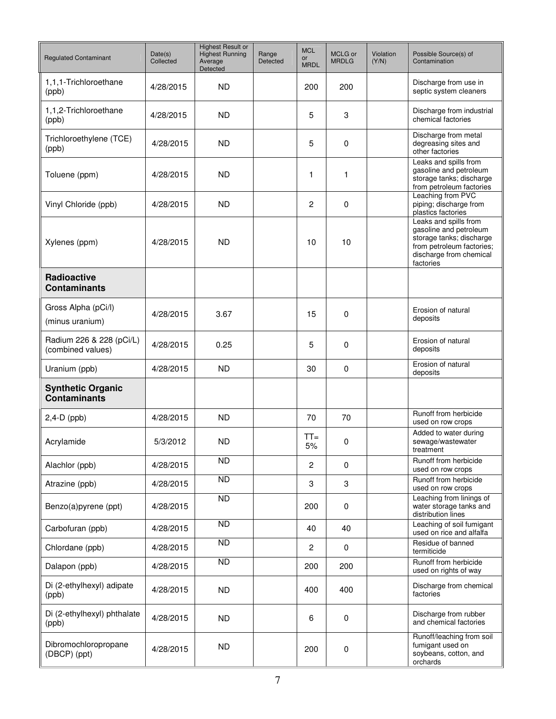| <b>Regulated Contaminant</b>                    | Date(s)<br>Collected | <b>Highest Result or</b><br><b>Highest Running</b><br>Average<br>Detected | Range<br>Detected | <b>MCL</b><br><b>or</b><br><b>MRDL</b> | MCLG or<br><b>MRDLG</b> | Violation<br>(Y/N) | Possible Source(s) of<br>Contamination                                                                                                           |
|-------------------------------------------------|----------------------|---------------------------------------------------------------------------|-------------------|----------------------------------------|-------------------------|--------------------|--------------------------------------------------------------------------------------------------------------------------------------------------|
| 1,1,1-Trichloroethane<br>(ppb)                  | 4/28/2015            | <b>ND</b>                                                                 |                   | 200                                    | 200                     |                    | Discharge from use in<br>septic system cleaners                                                                                                  |
| 1,1,2-Trichloroethane<br>(ppb)                  | 4/28/2015            | <b>ND</b>                                                                 |                   | 5                                      | 3                       |                    | Discharge from industrial<br>chemical factories                                                                                                  |
| Trichloroethylene (TCE)<br>(ppb)                | 4/28/2015            | <b>ND</b>                                                                 |                   | 5                                      | 0                       |                    | Discharge from metal<br>degreasing sites and<br>other factories                                                                                  |
| Toluene (ppm)                                   | 4/28/2015            | <b>ND</b>                                                                 |                   | 1                                      | 1                       |                    | Leaks and spills from<br>gasoline and petroleum<br>storage tanks; discharge<br>from petroleum factories                                          |
| Vinyl Chloride (ppb)                            | 4/28/2015            | <b>ND</b>                                                                 |                   | $\overline{c}$                         | 0                       |                    | Leaching from PVC<br>piping; discharge from<br>plastics factories                                                                                |
| Xylenes (ppm)                                   | 4/28/2015            | <b>ND</b>                                                                 |                   | 10                                     | 10                      |                    | Leaks and spills from<br>gasoline and petroleum<br>storage tanks; discharge<br>from petroleum factories;<br>discharge from chemical<br>factories |
| Radioactive<br><b>Contaminants</b>              |                      |                                                                           |                   |                                        |                         |                    |                                                                                                                                                  |
| Gross Alpha (pCi/l)<br>(minus uranium)          | 4/28/2015            | 3.67                                                                      |                   | 15                                     | 0                       |                    | Erosion of natural<br>deposits                                                                                                                   |
| Radium 226 & 228 (pCi/L)<br>(combined values)   | 4/28/2015            | 0.25                                                                      |                   | 5                                      | 0                       |                    | Erosion of natural<br>deposits                                                                                                                   |
| Uranium (ppb)                                   | 4/28/2015            | <b>ND</b>                                                                 |                   | 30                                     | 0                       |                    | Erosion of natural<br>deposits                                                                                                                   |
| <b>Synthetic Organic</b><br><b>Contaminants</b> |                      |                                                                           |                   |                                        |                         |                    |                                                                                                                                                  |
| $2,4-D$ (ppb)                                   | 4/28/2015            | <b>ND</b>                                                                 |                   | 70                                     | 70                      |                    | Runoff from herbicide<br>used on row crops                                                                                                       |
| Acrylamide                                      | 5/3/2012             | <b>ND</b>                                                                 |                   | $TT =$<br>5%                           | 0                       |                    | Added to water during<br>sewage/wastewater<br>treatment                                                                                          |
| Alachlor (ppb)                                  | 4/28/2015            | $\overline{ND}$                                                           |                   | $\overline{2}$                         | $\mathbf 0$             |                    | Runoff from herbicide<br>used on row crops                                                                                                       |
| Atrazine (ppb)                                  | 4/28/2015            | $\overline{ND}$                                                           |                   | 3                                      | 3                       |                    | Runoff from herbicide<br>used on row crops                                                                                                       |
| Benzo(a)pyrene (ppt)                            | 4/28/2015            | $\overline{ND}$                                                           |                   | 200                                    | 0                       |                    | Leaching from linings of<br>water storage tanks and<br>distribution lines                                                                        |
| Carbofuran (ppb)                                | 4/28/2015            | $\overline{ND}$                                                           |                   | 40                                     | 40                      |                    | Leaching of soil fumigant<br>used on rice and alfalfa                                                                                            |
| Chlordane (ppb)                                 | 4/28/2015            | <b>ND</b>                                                                 |                   | $\overline{c}$                         | $\mathbf 0$             |                    | Residue of banned<br>termiticide                                                                                                                 |
| Dalapon (ppb)                                   | 4/28/2015            | $\overline{ND}$                                                           |                   | 200                                    | 200                     |                    | Runoff from herbicide<br>used on rights of way                                                                                                   |
| Di (2-ethylhexyl) adipate<br>(ppb)              | 4/28/2015            | <b>ND</b>                                                                 |                   | 400                                    | 400                     |                    | Discharge from chemical<br>factories                                                                                                             |
| Di (2-ethylhexyl) phthalate<br>(ppb)            | 4/28/2015            | <b>ND</b>                                                                 |                   | 6                                      | 0                       |                    | Discharge from rubber<br>and chemical factories                                                                                                  |
| Dibromochloropropane<br>(DBCP) (ppt)            | 4/28/2015            | <b>ND</b>                                                                 |                   | 200                                    | 0                       |                    | Runoff/leaching from soil<br>fumigant used on<br>soybeans, cotton, and<br>orchards                                                               |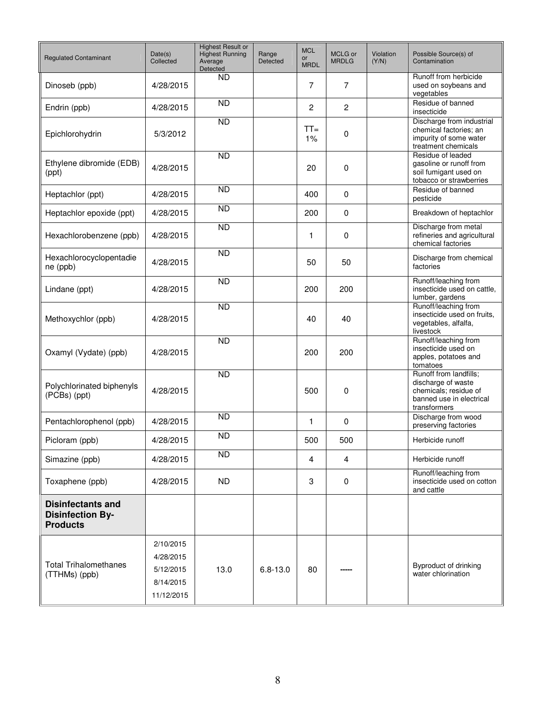| <b>Regulated Contaminant</b>                                           | Date(s)<br>Collected                                           | <b>Highest Result or</b><br><b>Highest Running</b><br>Average<br><b>Detected</b> | Range<br>Detected | <b>MCL</b><br><b>or</b><br><b>MRDL</b> | MCLG or<br><b>MRDLG</b> | Violation<br>(Y/N) | Possible Source(s) of<br>Contamination                                                                            |
|------------------------------------------------------------------------|----------------------------------------------------------------|----------------------------------------------------------------------------------|-------------------|----------------------------------------|-------------------------|--------------------|-------------------------------------------------------------------------------------------------------------------|
| Dinoseb (ppb)                                                          | 4/28/2015                                                      | <b>ND</b>                                                                        |                   | 7                                      | $\overline{7}$          |                    | Runoff from herbicide<br>used on soybeans and<br>vegetables                                                       |
| Endrin (ppb)                                                           | 4/28/2015                                                      | $\overline{ND}$                                                                  |                   | $\overline{c}$                         | $\overline{c}$          |                    | Residue of banned<br>insecticide                                                                                  |
| Epichlorohydrin                                                        | 5/3/2012                                                       | <b>ND</b>                                                                        |                   | $TT =$<br>1%                           | 0                       |                    | Discharge from industrial<br>chemical factories; an<br>impurity of some water<br>treatment chemicals              |
| Ethylene dibromide (EDB)<br>(ppt)                                      | 4/28/2015                                                      | $\overline{ND}$                                                                  |                   | 20                                     | 0                       |                    | Residue of leaded<br>gasoline or runoff from<br>soil fumigant used on<br>tobacco or strawberries                  |
| Heptachlor (ppt)                                                       | 4/28/2015                                                      | <b>ND</b>                                                                        |                   | 400                                    | 0                       |                    | Residue of banned<br>pesticide                                                                                    |
| Heptachlor epoxide (ppt)                                               | 4/28/2015                                                      | <b>ND</b>                                                                        |                   | 200                                    | 0                       |                    | Breakdown of heptachlor                                                                                           |
| Hexachlorobenzene (ppb)                                                | 4/28/2015                                                      | $\overline{ND}$                                                                  |                   | 1                                      | 0                       |                    | Discharge from metal<br>refineries and agricultural<br>chemical factories                                         |
| Hexachlorocyclopentadie<br>ne (ppb)                                    | 4/28/2015                                                      | $\overline{ND}$                                                                  |                   | 50                                     | 50                      |                    | Discharge from chemical<br>factories                                                                              |
| Lindane (ppt)                                                          | 4/28/2015                                                      | $\overline{ND}$                                                                  |                   | 200                                    | 200                     |                    | Runoff/leaching from<br>insecticide used on cattle.<br>lumber, gardens                                            |
| Methoxychlor (ppb)                                                     | 4/28/2015                                                      | <b>ND</b>                                                                        |                   | 40                                     | 40                      |                    | Runoff/leaching from<br>insecticide used on fruits.<br>vegetables, alfalfa,<br>livestock                          |
| Oxamyl (Vydate) (ppb)                                                  | 4/28/2015                                                      | <b>ND</b>                                                                        |                   | 200                                    | 200                     |                    | Runoff/leaching from<br>insecticide used on<br>apples, potatoes and<br>tomatoes                                   |
| Polychlorinated biphenyls<br>(PCBs) (ppt)                              | 4/28/2015                                                      | $\overline{ND}$                                                                  |                   | 500                                    | 0                       |                    | Runoff from landfills;<br>discharge of waste<br>chemicals; residue of<br>banned use in electrical<br>transformers |
| Pentachlorophenol (ppb)                                                | 4/28/2015                                                      | $\overline{ND}$                                                                  |                   | 1                                      | 0                       |                    | Discharge from wood<br>preserving factories                                                                       |
| Picloram (ppb)                                                         | 4/28/2015                                                      | <b>ND</b>                                                                        |                   | 500                                    | 500                     |                    | Herbicide runoff                                                                                                  |
| Simazine (ppb)                                                         | 4/28/2015                                                      | <b>ND</b>                                                                        |                   | 4                                      | 4                       |                    | Herbicide runoff                                                                                                  |
| Toxaphene (ppb)                                                        | 4/28/2015                                                      | ND.                                                                              |                   | 3                                      | 0                       |                    | Runoff/leaching from<br>insecticide used on cotton<br>and cattle                                                  |
| <b>Disinfectants and</b><br><b>Disinfection By-</b><br><b>Products</b> |                                                                |                                                                                  |                   |                                        |                         |                    |                                                                                                                   |
| <b>Total Trihalomethanes</b><br>(TTHMs) (ppb)                          | 2/10/2015<br>4/28/2015<br>5/12/2015<br>8/14/2015<br>11/12/2015 | 13.0                                                                             | $6.8 - 13.0$      | 80                                     |                         |                    | Byproduct of drinking<br>water chlorination                                                                       |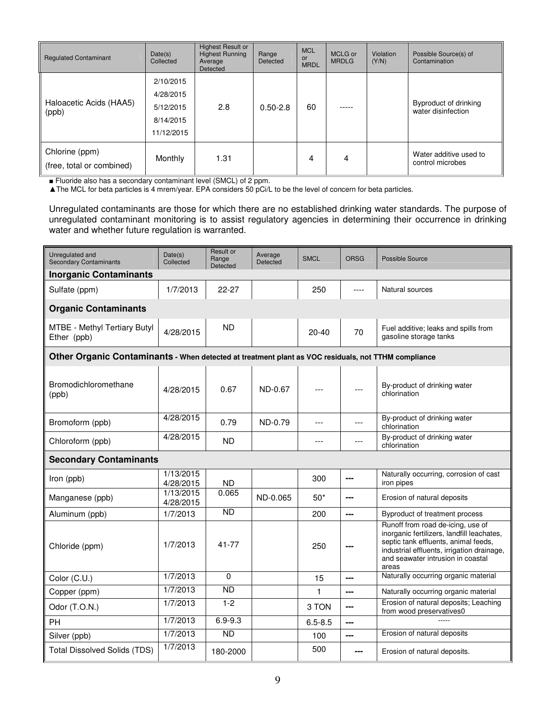| <b>Regulated Contaminant</b>                | Date(s)<br>Collected                                           | <b>Highest Result or</b><br><b>Highest Running</b><br>Average<br>Detected | Range<br>Detected | <b>MCL</b><br>or<br><b>MRDL</b> | MCLG or<br><b>MRDLG</b> | Violation<br>(Y/N) | Possible Source(s) of<br>Contamination      |
|---------------------------------------------|----------------------------------------------------------------|---------------------------------------------------------------------------|-------------------|---------------------------------|-------------------------|--------------------|---------------------------------------------|
| Haloacetic Acids (HAA5)<br>(ppb)            | 2/10/2015<br>4/28/2015<br>5/12/2015<br>8/14/2015<br>11/12/2015 | 2.8                                                                       | $0.50 - 2.8$      | 60                              |                         |                    | Byproduct of drinking<br>water disinfection |
| Chlorine (ppm)<br>(free, total or combined) | Monthly                                                        | 1.31                                                                      |                   | 4                               | 4                       |                    | Water additive used to<br>control microbes  |

■ Fluoride also has a secondary contaminant level (SMCL) of 2 ppm.

▲The MCL for beta particles is 4 mrem/year. EPA considers 50 pCi/L to be the level of concern for beta particles.

Unregulated contaminants are those for which there are no established drinking water standards. The purpose of unregulated contaminant monitoring is to assist regulatory agencies in determining their occurrence in drinking water and whether future regulation is warranted.

| Unregulated and<br><b>Secondary Contaminants</b>                                                    | Date(s)<br>Collected   | Result or<br>Range<br>Detected | Average<br>Detected | <b>SMCL</b> | <b>ORSG</b>              | Possible Source                                                                                                                                                                                                     |  |  |  |  |
|-----------------------------------------------------------------------------------------------------|------------------------|--------------------------------|---------------------|-------------|--------------------------|---------------------------------------------------------------------------------------------------------------------------------------------------------------------------------------------------------------------|--|--|--|--|
| <b>Inorganic Contaminants</b>                                                                       |                        |                                |                     |             |                          |                                                                                                                                                                                                                     |  |  |  |  |
| Sulfate (ppm)                                                                                       | 1/7/2013               | 22-27                          |                     | 250         | $---$                    | Natural sources                                                                                                                                                                                                     |  |  |  |  |
| <b>Organic Contaminants</b>                                                                         |                        |                                |                     |             |                          |                                                                                                                                                                                                                     |  |  |  |  |
| MTBE - Methyl Tertiary Butyl<br>Ether (ppb)                                                         | 4/28/2015              | <b>ND</b>                      |                     | $20 - 40$   | 70                       | Fuel additive; leaks and spills from<br>gasoline storage tanks                                                                                                                                                      |  |  |  |  |
| Other Organic Contaminants - When detected at treatment plant as VOC residuals, not TTHM compliance |                        |                                |                     |             |                          |                                                                                                                                                                                                                     |  |  |  |  |
| Bromodichloromethane<br>(ppb)                                                                       | 4/28/2015              | 0.67                           | ND-0.67             |             |                          | By-product of drinking water<br>chlorination                                                                                                                                                                        |  |  |  |  |
| Bromoform (ppb)                                                                                     | 4/28/2015              | 0.79                           | ND-0.79             | ---         | ---                      | By-product of drinking water<br>chlorination                                                                                                                                                                        |  |  |  |  |
| Chloroform (ppb)                                                                                    | 4/28/2015              | <b>ND</b>                      |                     | $---$       | ---                      | By-product of drinking water<br>chlorination                                                                                                                                                                        |  |  |  |  |
| <b>Secondary Contaminants</b>                                                                       |                        |                                |                     |             |                          |                                                                                                                                                                                                                     |  |  |  |  |
| Iron (ppb)                                                                                          | 1/13/2015<br>4/28/2015 | <b>ND</b>                      |                     | 300         | ---                      | Naturally occurring, corrosion of cast<br>iron pipes                                                                                                                                                                |  |  |  |  |
| Manganese (ppb)                                                                                     | 1/13/2015<br>4/28/2015 | 0.065                          | ND-0.065            | $50*$       | ---                      | Erosion of natural deposits                                                                                                                                                                                         |  |  |  |  |
| Aluminum (ppb)                                                                                      | 1/7/2013               | <b>ND</b>                      |                     | 200         | $\overline{\phantom{a}}$ | Byproduct of treatment process                                                                                                                                                                                      |  |  |  |  |
| Chloride (ppm)                                                                                      | 1/7/2013               | 41-77                          |                     | 250         | ---                      | Runoff from road de-icing, use of<br>inorganic fertilizers, landfill leachates,<br>septic tank effluents, animal feeds,<br>industrial effluents, irrigation drainage,<br>and seawater intrusion in coastal<br>areas |  |  |  |  |
| Color (C.U.)                                                                                        | 1/7/2013               | $\Omega$                       |                     | 15          | $- - -$                  | Naturally occurring organic material                                                                                                                                                                                |  |  |  |  |
| Copper (ppm)                                                                                        | 1/7/2013               | <b>ND</b>                      |                     | 1           | $---$                    | Naturally occurring organic material                                                                                                                                                                                |  |  |  |  |
| Odor (T.O.N.)                                                                                       | 1/7/2013               | $1 - 2$                        |                     | 3 TON       | $---$                    | Erosion of natural deposits; Leaching<br>from wood preservatives0                                                                                                                                                   |  |  |  |  |
| PH                                                                                                  | 1/7/2013               | $6.9 - 9.3$                    |                     | $6.5 - 8.5$ | ---                      |                                                                                                                                                                                                                     |  |  |  |  |
| Silver (ppb)                                                                                        | 1/7/2013               | <b>ND</b>                      |                     | 100         | $\overline{\phantom{a}}$ | Erosion of natural deposits                                                                                                                                                                                         |  |  |  |  |
| <b>Total Dissolved Solids (TDS)</b>                                                                 | 1/7/2013               | 180-2000                       |                     | 500         | ---                      | Erosion of natural deposits.                                                                                                                                                                                        |  |  |  |  |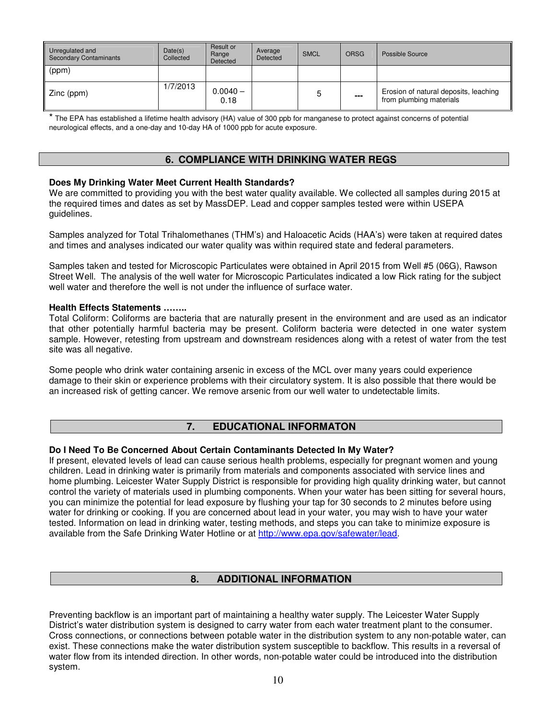| Unregulated and<br>Secondary Contaminants | Date(s)<br>Collected | Result or<br>Range<br>Detected | Average<br>Detected | <b>SMCL</b> | <b>ORSG</b> | Possible Source                                                  |
|-------------------------------------------|----------------------|--------------------------------|---------------------|-------------|-------------|------------------------------------------------------------------|
| (ppm)                                     |                      |                                |                     |             |             |                                                                  |
| Zinc (ppm)                                | 1/7/2013             | $0.0040 -$<br>0.18             |                     | ხ           | ---         | Erosion of natural deposits, leaching<br>from plumbing materials |

\* The EPA has established a lifetime health advisory (HA) value of 300 ppb for manganese to protect against concerns of potential neurological effects, and a one-day and 10-day HA of 1000 ppb for acute exposure.

# **6. COMPLIANCE WITH DRINKING WATER REGS**

### **Does My Drinking Water Meet Current Health Standards?**

We are committed to providing you with the best water quality available. We collected all samples during 2015 at the required times and dates as set by MassDEP. Lead and copper samples tested were within USEPA guidelines.

Samples analyzed for Total Trihalomethanes (THM's) and Haloacetic Acids (HAA's) were taken at required dates and times and analyses indicated our water quality was within required state and federal parameters.

Samples taken and tested for Microscopic Particulates were obtained in April 2015 from Well #5 (06G), Rawson Street Well. The analysis of the well water for Microscopic Particulates indicated a low Rick rating for the subject well water and therefore the well is not under the influence of surface water.

#### **Health Effects Statements ……..**

Total Coliform: Coliforms are bacteria that are naturally present in the environment and are used as an indicator that other potentially harmful bacteria may be present. Coliform bacteria were detected in one water system sample. However, retesting from upstream and downstream residences along with a retest of water from the test site was all negative.

Some people who drink water containing arsenic in excess of the MCL over many years could experience damage to their skin or experience problems with their circulatory system. It is also possible that there would be an increased risk of getting cancer. We remove arsenic from our well water to undetectable limits.

## **7. EDUCATIONAL INFORMATON**

## **Do I Need To Be Concerned About Certain Contaminants Detected In My Water?**

If present, elevated levels of lead can cause serious health problems, especially for pregnant women and young children. Lead in drinking water is primarily from materials and components associated with service lines and home plumbing. Leicester Water Supply District is responsible for providing high quality drinking water, but cannot control the variety of materials used in plumbing components. When your water has been sitting for several hours, you can minimize the potential for lead exposure by flushing your tap for 30 seconds to 2 minutes before using water for drinking or cooking. If you are concerned about lead in your water, you may wish to have your water tested. Information on lead in drinking water, testing methods, and steps you can take to minimize exposure is available from the Safe Drinking Water Hotline or at http://www.epa.gov/safewater/lead.

# **8. ADDITIONAL INFORMATION**

Preventing backflow is an important part of maintaining a healthy water supply. The Leicester Water Supply District's water distribution system is designed to carry water from each water treatment plant to the consumer. Cross connections, or connections between potable water in the distribution system to any non-potable water, can exist. These connections make the water distribution system susceptible to backflow. This results in a reversal of water flow from its intended direction. In other words, non-potable water could be introduced into the distribution system.